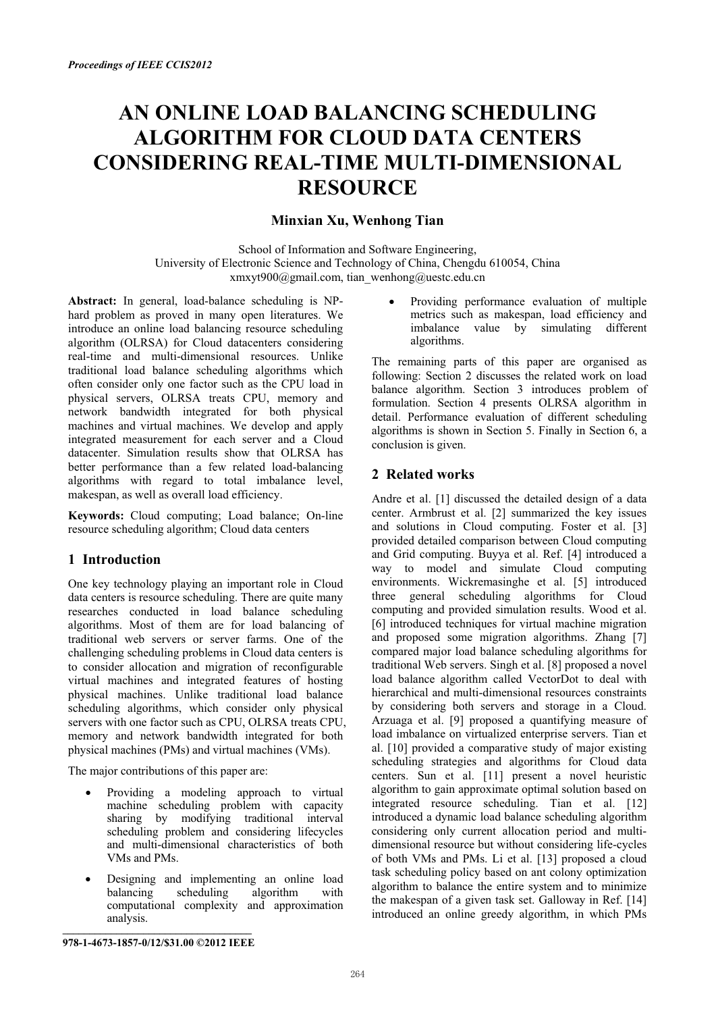# **AN ONLINE LOAD BALANCING SCHEDULING ALGORITHM FOR CLOUD DATA CENTERS CONSIDERING REAL-TIME MULTI-DIMENSIONAL RESOURCE**

## **Minxian Xu, Wenhong Tian**

School of Information and Software Engineering, University of Electronic Science and Technology of China, Chengdu 610054, China xmxyt900@gmail.com, tian\_wenhong@uestc.edu.cn

**Abstract:** In general, load-balance scheduling is NPhard problem as proved in many open literatures. We introduce an online load balancing resource scheduling algorithm (OLRSA) for Cloud datacenters considering real-time and multi-dimensional resources. Unlike traditional load balance scheduling algorithms which often consider only one factor such as the CPU load in physical servers, OLRSA treats CPU, memory and network bandwidth integrated for both physical machines and virtual machines. We develop and apply integrated measurement for each server and a Cloud datacenter. Simulation results show that OLRSA has better performance than a few related load-balancing algorithms with regard to total imbalance level, makespan, as well as overall load efficiency.

**Keywords:** Cloud computing; Load balance; On-line resource scheduling algorithm; Cloud data centers

## **1 Introduction**

One key technology playing an important role in Cloud data centers is resource scheduling. There are quite many researches conducted in load balance scheduling algorithms. Most of them are for load balancing of traditional web servers or server farms. One of the challenging scheduling problems in Cloud data centers is to consider allocation and migration of reconfigurable virtual machines and integrated features of hosting physical machines. Unlike traditional load balance scheduling algorithms, which consider only physical servers with one factor such as CPU, OLRSA treats CPU, memory and network bandwidth integrated for both physical machines (PMs) and virtual machines (VMs).

The major contributions of this paper are:

- - Providing a modeling approach to virtual machine scheduling problem with capacity sharing by modifying traditional interval scheduling problem and considering lifecycles and multi-dimensional characteristics of both VMs and PMs.
- -Designing and implementing an online load<br>balancing scheduling algorithm with balancing scheduling computational complexity and approximation analysis. **\_\_\_\_\_\_\_\_\_\_\_\_\_\_\_\_\_\_\_\_\_\_\_\_\_\_\_\_\_\_\_\_\_\_\_**

- Providing performance evaluation of multiple metrics such as makespan, load efficiency and imbalance value by simulating different algorithms.

The remaining parts of this paper are organised as following: Section 2 discusses the related work on load balance algorithm. Section 3 introduces problem of formulation. Section 4 presents OLRSA algorithm in detail. Performance evaluation of different scheduling algorithms is shown in Section 5. Finally in Section 6, a conclusion is given.

## **2 Related works**

Andre et al. [1] discussed the detailed design of a data center. Armbrust et al. [2] summarized the key issues and solutions in Cloud computing. Foster et al. [3] provided detailed comparison between Cloud computing and Grid computing. Buyya et al. Ref. [4] introduced a way to model and simulate Cloud computing environments. Wickremasinghe et al. [5] introduced three general scheduling algorithms for Cloud computing and provided simulation results. Wood et al. [6] introduced techniques for virtual machine migration and proposed some migration algorithms. Zhang [7] compared major load balance scheduling algorithms for traditional Web servers. Singh et al. [8] proposed a novel load balance algorithm called VectorDot to deal with hierarchical and multi-dimensional resources constraints by considering both servers and storage in a Cloud. Arzuaga et al. [9] proposed a quantifying measure of load imbalance on virtualized enterprise servers. Tian et al. [10] provided a comparative study of major existing scheduling strategies and algorithms for Cloud data centers. Sun et al. [11] present a novel heuristic algorithm to gain approximate optimal solution based on integrated resource scheduling. Tian et al. [12] introduced a dynamic load balance scheduling algorithm considering only current allocation period and multidimensional resource but without considering life-cycles of both VMs and PMs. Li et al. [13] proposed a cloud task scheduling policy based on ant colony optimization algorithm to balance the entire system and to minimize the makespan of a given task set. Galloway in Ref. [14] introduced an online greedy algorithm, in which PMs

**<sup>978-</sup>1-4673-1857-0/12/\$31.00 ©2012 IEEE**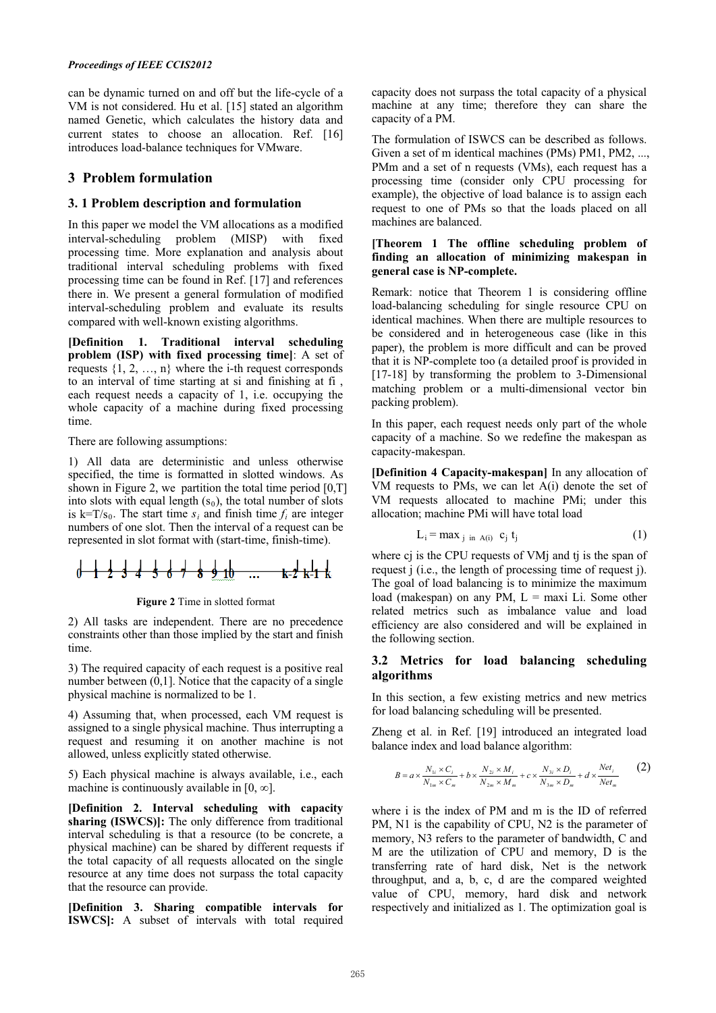#### *Proceedings of IEEE CCIS2012*

can be dynamic turned on and off but the life-cycle of a VM is not considered. Hu et al. [15] stated an algorithm named Genetic, which calculates the history data and current states to choose an allocation. Ref. [16] introduces load-balance techniques for VMware.

## **3 Problem formulation**

#### **3. 1 Problem description and formulation**

In this paper we model the VM allocations as a modified interval-scheduling problem (MISP) with fixed processing time. More explanation and analysis about traditional interval scheduling problems with fixed processing time can be found in Ref. [17] and references there in. We present a general formulation of modified interval-scheduling problem and evaluate its results compared with well-known existing algorithms.

**[Definition 1. Traditional interval scheduling problem (ISP) with fixed processing time]**: A set of requests {1, 2, …, n} where the i-th request corresponds to an interval of time starting at si and finishing at fi , each request needs a capacity of 1, i.e. occupying the whole capacity of a machine during fixed processing time.

There are following assumptions:

1) All data are deterministic and unless otherwise specified, the time is formatted in slotted windows. As shown in Figure 2, we partition the total time period [0,T] into slots with equal length  $(s_0)$ , the total number of slots is  $k=T/s_0$ . The start time  $s_i$  and finish time  $f_i$  are integer numbers of one slot. Then the interval of a request can be represented in slot format with (start-time, finish-time).

$$
0 + \frac{1}{2} + \frac{1}{3} + \frac{1}{4} + \frac{1}{6} + \frac{1}{8} + \frac{1}{2} + \frac{1}{10} + \ldots + \frac{1}{k-2} + \frac{1}{k+1} + \frac{1}{k}
$$

**Figure 2** Time in slotted format

2) All tasks are independent. There are no precedence constraints other than those implied by the start and finish time.

3) The required capacity of each request is a positive real number between  $(0,1]$ . Notice that the capacity of a single physical machine is normalized to be 1.

4) Assuming that, when processed, each VM request is assigned to a single physical machine. Thus interrupting a request and resuming it on another machine is not allowed, unless explicitly stated otherwise.

5) Each physical machine is always available, i.e., each machine is continuously available in  $[0, \infty]$ .

**[Definition 2. Interval scheduling with capacity sharing (ISWCS)]:** The only difference from traditional interval scheduling is that a resource (to be concrete, a physical machine) can be shared by different requests if the total capacity of all requests allocated on the single resource at any time does not surpass the total capacity that the resource can provide.

**[Definition 3. Sharing compatible intervals for ISWCS]:** A subset of intervals with total required capacity does not surpass the total capacity of a physical machine at any time; therefore they can share the capacity of a PM.

The formulation of ISWCS can be described as follows. Given a set of m identical machines (PMs) PM1, PM2, ..., PMm and a set of n requests (VMs), each request has a processing time (consider only CPU processing for example), the objective of load balance is to assign each request to one of PMs so that the loads placed on all machines are balanced.

#### **[Theorem 1 The offline scheduling problem of finding an allocation of minimizing makespan in general case is NP-complete.**

Remark: notice that Theorem 1 is considering offline load-balancing scheduling for single resource CPU on identical machines. When there are multiple resources to be considered and in heterogeneous case (like in this paper), the problem is more difficult and can be proved that it is NP-complete too (a detailed proof is provided in [17-18] by transforming the problem to 3-Dimensional matching problem or a multi-dimensional vector bin packing problem).

In this paper, each request needs only part of the whole capacity of a machine. So we redefine the makespan as capacity-makespan.

**[Definition 4 Capacity-makespan]** In any allocation of VM requests to PMs, we can let A(i) denote the set of VM requests allocated to machine PMi; under this allocation; machine PMi will have total load

$$
L_i = \max_{j \text{ in } A(i)} c_j t_j \tag{1}
$$

where cj is the CPU requests of VMj and tj is the span of request j (i.e., the length of processing time of request j). The goal of load balancing is to minimize the maximum load (makespan) on any PM,  $L = \text{maxi } L$ . Some other related metrics such as imbalance value and load efficiency are also considered and will be explained in the following section.

## **3.2 Metrics for load balancing scheduling algorithms**

In this section, a few existing metrics and new metrics for load balancing scheduling will be presented.

Zheng et al. in Ref. [19] introduced an integrated load balance index and load balance algorithm:

$$
B = a \times \frac{N_{1i} \times C_i}{N_{1m} \times C_m} + b \times \frac{N_{2i} \times M_i}{N_{2m} \times M_m} + c \times \frac{N_{3i} \times D_i}{N_{3m} \times D_m} + d \times \frac{Net_i}{Net_m}
$$
 (2)

where i is the index of PM and m is the ID of referred PM, N1 is the capability of CPU, N2 is the parameter of memory, N3 refers to the parameter of bandwidth, C and M are the utilization of CPU and memory, D is the transferring rate of hard disk, Net is the network throughput, and a, b, c, d are the compared weighted value of CPU, memory, hard disk and network respectively and initialized as 1. The optimization goal is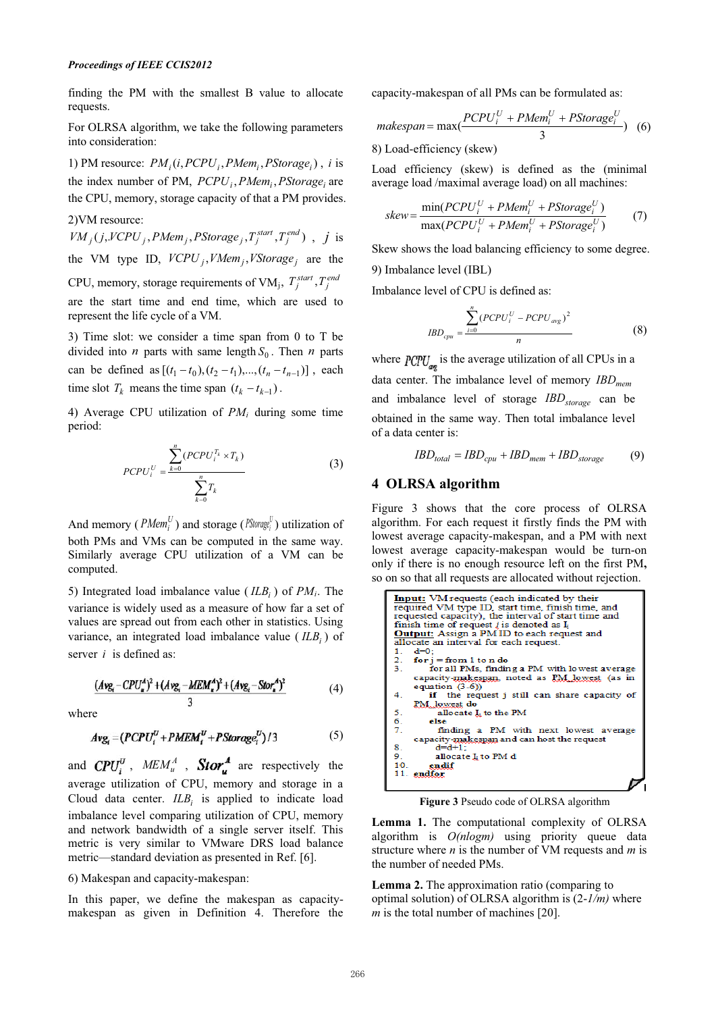finding the PM with the smallest B value to allocate requests.

For OLRSA algorithm, we take the following parameters into consideration:

1) PM resource:  $PM_i(i, PCPU_i, PMem_i, PStorage_i)$ , *i* is the index number of PM,  $PCPU_i$ ,  $PMem_i$ ,  $PStorage_i$  are the CPU, memory, storage capacity of that a PM provides.

## 2)VM resource:

 $VM_j(j, VCPU_j, PMem_j, PStorage_j, T_j^{start}, T_j^{end})$ , *j* is the VM type ID,  $VCPU_j, VMem_j, VStorage_j$  are the CPU, memory, storage requirements of VM<sub>j</sub>,  $T_j^{start}$ ,  $T_j^{ena}$ are the start time and end time, which are used to represent the life cycle of a VM.

3) Time slot: we consider a time span from 0 to T be divided into *n* parts with same length  $S_0$ . Then *n* parts can be defined as  $[(t_1 - t_0), (t_2 - t_1), ..., (t_n - t_{n-1})]$ , each time slot  $T_k$  means the time span  $(t_k - t_{k-1})$ .

4) Average CPU utilization of *PMi* during some time period:

$$
PCPU_i^U = \frac{\sum_{k=0}^{n} (PCPU_i^{T_k} \times T_k)}{\sum_{k=0}^{n} T_k}
$$
 (3)

And memory ( $PMem_i^U$ ) and storage ( $PStronge_i^U$ ) utilization of both PMs and VMs can be computed in the same way. Similarly average CPU utilization of a VM can be computed.

5) Integrated load imbalance value ( $ILB<sub>i</sub>$ ) of  $PM<sub>i</sub>$ . The variance is widely used as a measure of how far a set of values are spread out from each other in statistics. Using variance, an integrated load imbalance value ( $ILB<sub>i</sub>$ ) of server *i* is defined as:

$$
\frac{(Avg_i - CPU_x^4)^2 + (Avg_i - MEM_x^4)^2 + (Avg_i - Stor_x^4)^2}{3}
$$
 (4)

where

$$
Avg_i = (PCPU_i^U + PMEM_i^U + PStorage_i^U)/3
$$
 (5)

and  $CPU_i^U$ ,  $MEM_i^A$ , *Stor***<sub>u</sub>**</sub> are respectively the average utilization of CPU, memory and storage in a Cloud data center.  $ILB_i$  is applied to indicate load imbalance level comparing utilization of CPU, memory and network bandwidth of a single server itself. This metric is very similar to VMware DRS load balance metric—standard deviation as presented in Ref. [6].

#### 6) Makespan and capacity-makespan:

In this paper, we define the makespan as capacitymakespan as given in Definition 4. Therefore the

capacity-makespan of all PMs can be formulated as:

$$
makes pan = \max(\frac{PCPU_i^U + PMem_i^U + PStorage_i^U}{3})
$$
 (6)

8) Load-efficiency (skew)

Load efficiency (skew) is defined as the (minimal average load /maximal average load) on all machines:

$$
skew = \frac{\min(PCPU_i^U + PMem_i^U + PStorage_i^U)}{\max(PCPU_i^U + PMem_i^U + PStorage_i^U)}
$$
(7)

Skew shows the load balancing efficiency to some degree. 9) Imbalance level (IBL)

Imbalance level of CPU is defined as:

$$
IBD_{cpu} = \frac{\sum_{i=0}^{n} (PCPU_i^U - PCPU_{avg})^2}{n}
$$
 (8)

where  $PCPU_{\text{ave}}$  is the average utilization of all CPUs in a data center. The imbalance level of memory *IBD<sub>mem</sub>* and imbalance level of storage *IBD*<sub>storage</sub> can be obtained in the same way. Then total imbalance level of a data center is:

$$
IBD_{total} = IBD_{cpu} + IBD_{mem} + IBD_{storage}
$$
 (9)

## **4 OLRSA algorithm**

Figure 3 shows that the core process of OLRSA algorithm. For each request it firstly finds the PM with lowest average capacity-makespan, and a PM with next lowest average capacity-makespan would be turn-on only if there is no enough resource left on the first PM**,** so on so that all requests are allocated without rejection.

| Input: VM requests (each indicated by their<br>required VM type ID, start time, finish time, and<br>requested capacity), the interval of start time and<br>finish time of request $i$ is denoted as $I_i$<br><b>Output:</b> Assign a PMID to each request and<br>allocate an interval for each request. |
|---------------------------------------------------------------------------------------------------------------------------------------------------------------------------------------------------------------------------------------------------------------------------------------------------------|
| $1. d=0.1$                                                                                                                                                                                                                                                                                              |
| 2. for $j = from 1 to n do$                                                                                                                                                                                                                                                                             |
| 3.1<br>for all PMs, finding a PM with lowest average                                                                                                                                                                                                                                                    |
| capacity-makespan, noted as PM lowest (as in                                                                                                                                                                                                                                                            |
| equation $(3-6)$ )                                                                                                                                                                                                                                                                                      |
| if the request j still can share capacity of<br>4.                                                                                                                                                                                                                                                      |
| PM lowest do                                                                                                                                                                                                                                                                                            |
| 5.<br>allocate $I_i$ to the PM                                                                                                                                                                                                                                                                          |
| 6.<br>else                                                                                                                                                                                                                                                                                              |
| $\tau$ .<br>finding a PM with next lowest average                                                                                                                                                                                                                                                       |
| capacity-makespan and can host the request                                                                                                                                                                                                                                                              |
| 8.<br>$d = d + 1$ :                                                                                                                                                                                                                                                                                     |
| 9.<br>allocate $I_{i}$ to PM d                                                                                                                                                                                                                                                                          |
| 10.<br>endif                                                                                                                                                                                                                                                                                            |
| 11. endfor                                                                                                                                                                                                                                                                                              |
|                                                                                                                                                                                                                                                                                                         |

**Figure 3** Pseudo code of OLRSA algorithm

**Lemma 1.** The computational complexity of OLRSA algorithm is *O(nlogm)* using priority queue data structure where *n* is the number of VM requests and *m* is the number of needed PMs.

**Lemma 2.** The approximation ratio (comparing to optimal solution) of OLRSA algorithm is (2-*1/m)* where *m* is the total number of machines [20].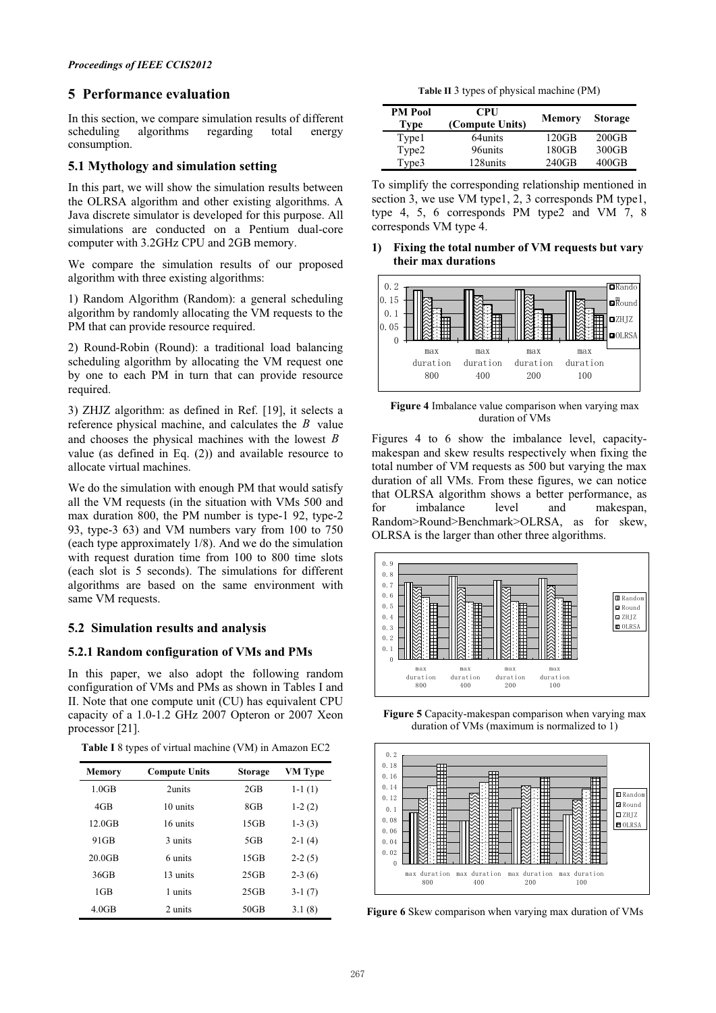## **5 Performance evaluation**

In this section, we compare simulation results of different scheduling algorithms regarding total energy consumption.

#### **5.1 Mythology and simulation setting**

In this part, we will show the simulation results between the OLRSA algorithm and other existing algorithms. A Java discrete simulator is developed for this purpose. All simulations are conducted on a Pentium dual-core computer with 3.2GHz CPU and 2GB memory.

We compare the simulation results of our proposed algorithm with three existing algorithms:

1) Random Algorithm (Random): a general scheduling algorithm by randomly allocating the VM requests to the PM that can provide resource required.

2) Round-Robin (Round): a traditional load balancing scheduling algorithm by allocating the VM request one by one to each PM in turn that can provide resource required.

3) ZHJZ algorithm: as defined in Ref. [19], it selects a reference physical machine, and calculates the  $B$  value and chooses the physical machines with the lowest *B* value (as defined in Eq. (2)) and available resource to allocate virtual machines.

We do the simulation with enough PM that would satisfy all the VM requests (in the situation with VMs 500 and max duration 800, the PM number is type-1 92, type-2 93, type-3 63) and VM numbers vary from 100 to 750 (each type approximately 1/8). And we do the simulation with request duration time from 100 to 800 time slots (each slot is 5 seconds). The simulations for different algorithms are based on the same environment with same VM requests.

#### **5.2 Simulation results and analysis**

#### **5.2.1 Random configuration of VMs and PMs**

In this paper, we also adopt the following random configuration of VMs and PMs as shown in Tables I and II. Note that one compute unit (CU) has equivalent CPU capacity of a 1.0-1.2 GHz 2007 Opteron or 2007 Xeon processor [21].

**Table I** 8 types of virtual machine (VM) in Amazon EC2

| Memory            | <b>Compute Units</b> | <b>Storage</b>  | VM Type  |
|-------------------|----------------------|-----------------|----------|
| 1.0GB             | 2units               | 2 <sub>GB</sub> | $1-1(1)$ |
| $4G$ B            | 10 units             | 8GB             | $1-2(2)$ |
| 12.0GB            | 16 units             | 15GB            | $1-3(3)$ |
| $91$ GB           | 3 units              | 5 <sub>GB</sub> | $2-1(4)$ |
| 20 0GB            | 6 units              | 15GB            | $2-2(5)$ |
| 36GB              | 13 units             | 25GB            | $2-3(6)$ |
| $1$ GB            | 1 units              | 25GB            | $3-1(7)$ |
| 4.0 <sub>GB</sub> | 2 units              | 50GB            | 3.1(8)   |

**Table II** 3 types of physical machine (PM)

| <b>PM Pool</b><br><b>Type</b> | <b>CPU</b><br>(Compute Units) | <b>Memory</b> | <b>Storage</b> |
|-------------------------------|-------------------------------|---------------|----------------|
| Type1                         | 64units                       | 120GB         | $200$ GB       |
| Type2                         | 96units                       | 180GB         | $300$ GB       |
| Type3                         | 128units                      | 240GB         | $400$ GB       |

To simplify the corresponding relationship mentioned in section 3, we use VM type1, 2, 3 corresponds PM type1, type 4, 5, 6 corresponds PM type2 and VM 7, 8 corresponds VM type 4.

#### **1) Fixing the total number of VM requests but vary their max durations**



**Figure 4** Imbalance value comparison when varying max duration of VMs

Figures 4 to 6 show the imbalance level, capacitymakespan and skew results respectively when fixing the total number of VM requests as 500 but varying the max duration of all VMs. From these figures, we can notice that OLRSA algorithm shows a better performance, as for imbalance level and makespan, Random>Round>Benchmark>OLRSA, as for skew, OLRSA is the larger than other three algorithms.



**Figure 5** Capacity-makespan comparison when varying max duration of VMs (maximum is normalized to 1)



**Figure 6** Skew comparison when varying max duration of VMs